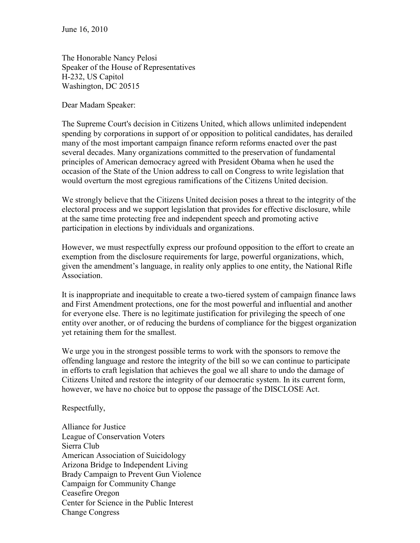The Honorable Nancy Pelosi Speaker of the House of Representatives H-232, US Capitol Washington, DC 20515

Dear Madam Speaker:

The Supreme Court's decision in Citizens United, which allows unlimited independent spending by corporations in support of or opposition to political candidates, has derailed many of the most important campaign finance reform reforms enacted over the past several decades. Many organizations committed to the preservation of fundamental principles of American democracy agreed with President Obama when he used the occasion of the State of the Union address to call on Congress to write legislation that would overturn the most egregious ramifications of the Citizens United decision.

We strongly believe that the Citizens United decision poses a threat to the integrity of the electoral process and we support legislation that provides for effective disclosure, while at the same time protecting free and independent speech and promoting active participation in elections by individuals and organizations.

However, we must respectfully express our profound opposition to the effort to create an exemption from the disclosure requirements for large, powerful organizations, which, given the amendment's language, in reality only applies to one entity, the National Rifle Association.

It is inappropriate and inequitable to create a two-tiered system of campaign finance laws and First Amendment protections, one for the most powerful and influential and another for everyone else. There is no legitimate justification for privileging the speech of one entity over another, or of reducing the burdens of compliance for the biggest organization yet retaining them for the smallest.

We urge you in the strongest possible terms to work with the sponsors to remove the offending language and restore the integrity of the bill so we can continue to participate in efforts to craft legislation that achieves the goal we all share to undo the damage of Citizens United and restore the integrity of our democratic system. In its current form, however, we have no choice but to oppose the passage of the DISCLOSE Act.

Respectfully,

Alliance for Justice League of Conservation Voters Sierra Club American Association of Suicidology Arizona Bridge to Independent Living Brady Campaign to Prevent Gun Violence Campaign for Community Change Ceasefire Oregon Center for Science in the Public Interest Change Congress